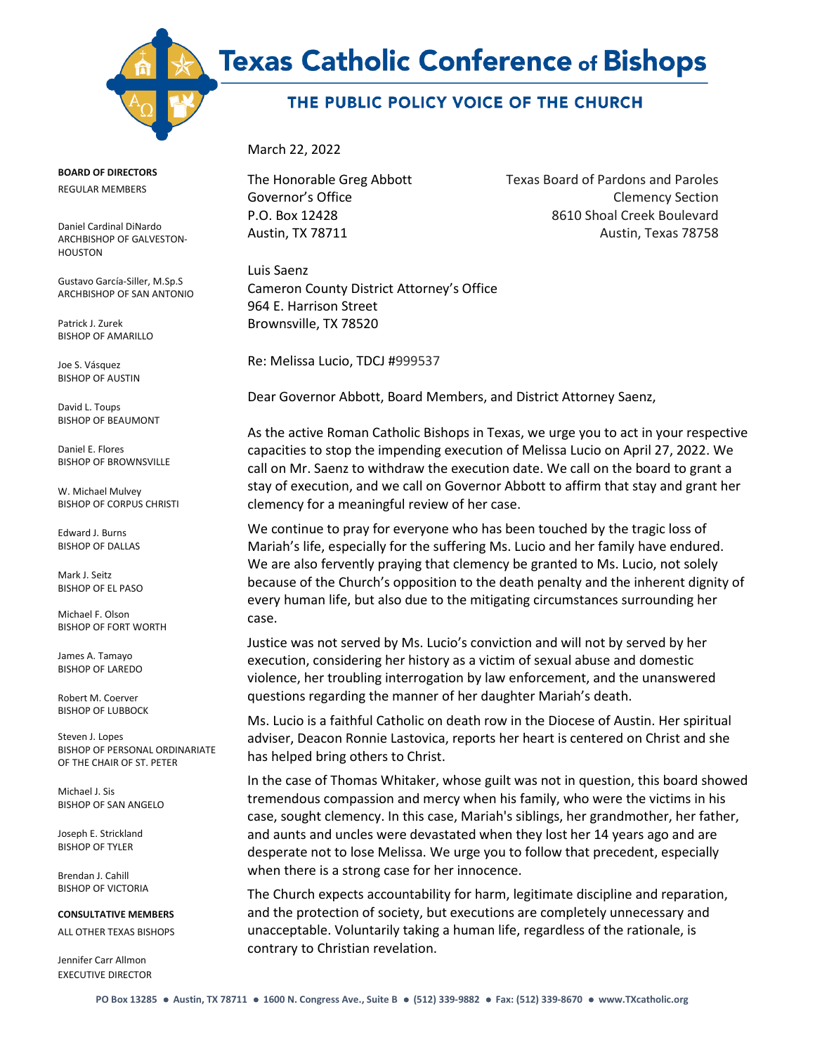

## THE PUBLIC POLICY VOICE OF THE CHURCH

March 22, 2022

The Honorable Greg Abbott Texas Board of Pardons and Paroles Governor's Office **Clemency Section** P.O. Box 12428 8610 Shoal Creek Boulevard Austin, TX 78711 Austin, Texas 78758

Luis Saenz Cameron County District Attorney's Office 964 E. Harrison Street Brownsville, TX 78520

Re: Melissa Lucio, TDCJ #999537

Dear Governor Abbott, Board Members, and District Attorney Saenz,

As the active Roman Catholic Bishops in Texas, we urge you to act in your respective capacities to stop the impending execution of Melissa Lucio on April 27, 2022. We call on Mr. Saenz to withdraw the execution date. We call on the board to grant a stay of execution, and we call on Governor Abbott to affirm that stay and grant her clemency for a meaningful review of her case.

We continue to pray for everyone who has been touched by the tragic loss of Mariah's life, especially for the suffering Ms. Lucio and her family have endured. We are also fervently praying that clemency be granted to Ms. Lucio, not solely because of the Church's opposition to the death penalty and the inherent dignity of every human life, but also due to the mitigating circumstances surrounding her case.

Justice was not served by Ms. Lucio's conviction and will not by served by her execution, considering her history as a victim of sexual abuse and domestic violence, her troubling interrogation by law enforcement, and the unanswered questions regarding the manner of her daughter Mariah's death.

Ms. Lucio is a faithful Catholic on death row in the Diocese of Austin. Her spiritual adviser, Deacon Ronnie Lastovica, reports her heart is centered on Christ and she has helped bring others to Christ.

In the case of Thomas Whitaker, whose guilt was not in question, this board showed tremendous compassion and mercy when his family, who were the victims in his case, sought clemency. In this case, Mariah's siblings, her grandmother, her father, and aunts and uncles were devastated when they lost her 14 years ago and are desperate not to lose Melissa. We urge you to follow that precedent, especially when there is a strong case for her innocence.

The Church expects accountability for harm, legitimate discipline and reparation, and the protection of society, but executions are completely unnecessary and unacceptable. Voluntarily taking a human life, regardless of the rationale, is contrary to Christian revelation.

**BOARD OF DIRECTORS**

REGULAR MEMBERS

Daniel Cardinal DiNardo ARCHBISHOP OF GALVESTON-HOUSTON

Gustavo García-Siller, M.Sp.S ARCHBISHOP OF SAN ANTONIO

Patrick J. Zurek BISHOP OF AMARILLO

Joe S. Vásquez BISHOP OF AUSTIN

David L. Toups BISHOP OF BEAUMONT

Daniel E. Flores BISHOP OF BROWNSVILLE

W. Michael Mulvey BISHOP OF CORPUS CHRISTI

Edward J. Burns BISHOP OF DALLAS

Mark J. Seitz BISHOP OF EL PASO

Michael F. Olson BISHOP OF FORT WORTH

James A. Tamayo BISHOP OF LAREDO

Robert M. Coerver BISHOP OF LUBBOCK

Steven J. Lopes BISHOP OF PERSONAL ORDINARIATE OF THE CHAIR OF ST. PETER

Michael J. Sis BISHOP OF SAN ANGELO

Joseph E. Strickland BISHOP OF TYLER

Brendan J. Cahill BISHOP OF VICTORIA

**CONSULTATIVE MEMBERS**

ALL OTHER TEXAS BISHOPS

Jennifer Carr Allmon EXECUTIVE DIRECTOR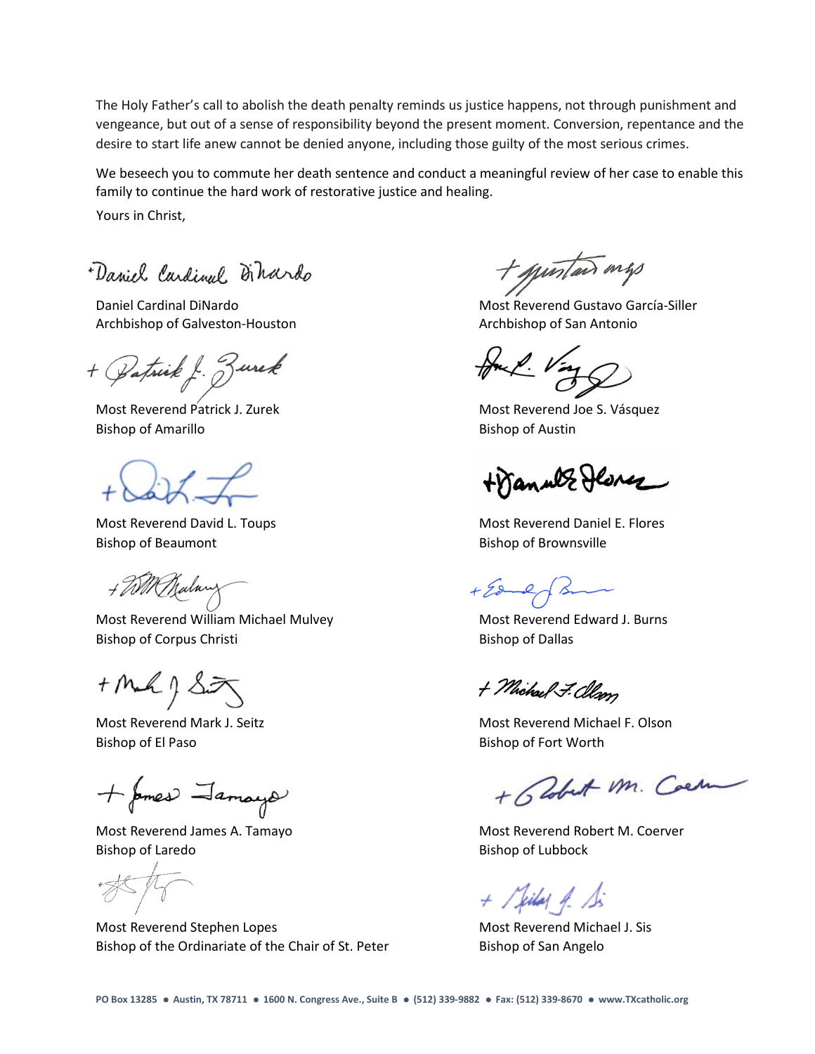The Holy Father's call to abolish the death penalty reminds us justice happens, not through punishment and vengeance, but out of a sense of responsibility beyond the present moment. Conversion, repentance and the desire to start life anew cannot be denied anyone, including those guilty of the most serious crimes.

We beseech you to commute her death sentence and conduct a meaningful review of her case to enable this family to continue the hard work of restorative justice and healing.

Yours in Christ,

Daviel Carlinel Dihardo

Archbishop of Galveston-Houston Archbishop of San Antonio

atrick f. Zurek

Bishop of Amarillo **Bishop of Austin** 

Bishop of Beaumont **Bishop of Brownsville** 

+ WM Malary

Most Reverend William Michael Mulvey Most Reverend Edward J. Burns Bishop of Corpus Christi Bishop of Dallas

 $+$  Mak  $9$  Siz

Bishop of El Paso **Bishop of Fort Worth** 

+ pmes Jamays

Bishop of Laredo Bishop of Lubbock

Most Reverend Stephen Lopes Most Reverend Michael J. Sis Bishop of the Ordinariate of the Chair of St. Peter Bishop of San Angelo

+ questais mys

Daniel Cardinal DiNardo **Most Reverend Gustavo García-Siller** Most Reverend Gustavo García-Siller

Most Reverend Patrick J. Zurek Most Reverend Joe S. Vásquez

+Wanner Herez

Most Reverend David L. Toups Most Reverend Daniel E. Flores

 $+28-2$  $\lambda$ 

+ Michael F. Clean

Most Reverend Mark J. Seitz **Most Reverend Michael F. Olson** Most Reverend Michael F. Olson

+ Blobat Mr. Coem

Most Reverend James A. Tamayo Most Reverend Robert M. Coerver

 $+$  / killed A. S.